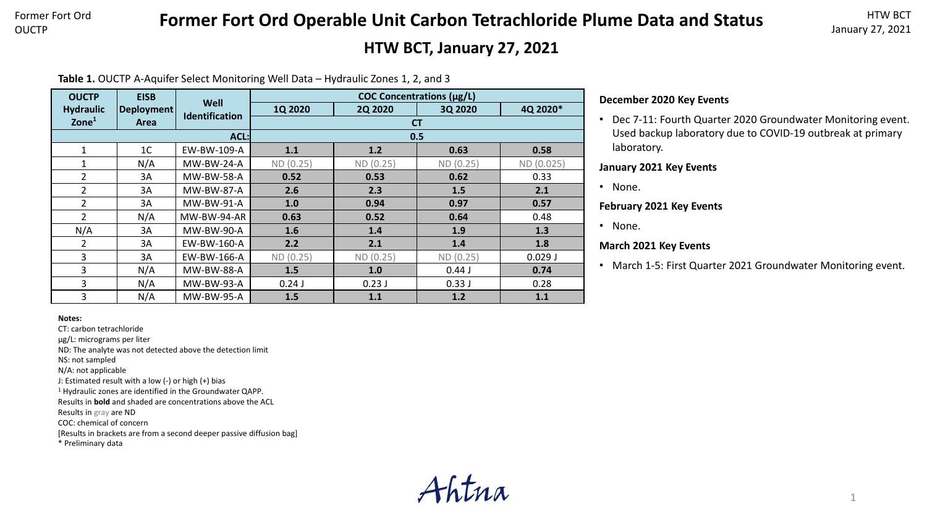# **Former Fort Ord Operable Unit Carbon Tetrachloride Plume Data and Status**

## **HTW BCT, January 27, 2021**

**Table 1.** OUCTP A-Aquifer Select Monitoring Well Data – Hydraulic Zones 1, 2, and 3

| <b>OUCTP</b>     | <b>EISB</b>    |                               | COC Concentrations (µg/L) |                |           |            |  |  |  |
|------------------|----------------|-------------------------------|---------------------------|----------------|-----------|------------|--|--|--|
| <b>Hydraulic</b> | Deployment     | Well<br><b>Identification</b> | 1Q 2020                   | <b>2Q 2020</b> | 3Q 2020   | 4Q 2020*   |  |  |  |
| Zone $1$         | Area           |                               | <b>CT</b>                 |                |           |            |  |  |  |
|                  |                | ACL:                          | 0.5                       |                |           |            |  |  |  |
| 1                | 1 <sup>C</sup> | EW-BW-109-A                   | 1.1                       | 1.2            | 0.63      | 0.58       |  |  |  |
| $\mathbf{1}$     | N/A            | <b>MW-BW-24-A</b>             | ND (0.25)                 | ND (0.25)      | ND(0.25)  | ND (0.025) |  |  |  |
| $\overline{2}$   | 3A             | <b>MW-BW-58-A</b>             | 0.52                      | 0.53           | 0.62      | 0.33       |  |  |  |
| $\overline{2}$   | 3A             | MW-BW-87-A                    | 2.6                       | 2.3            | 1.5       | 2.1        |  |  |  |
| $\overline{2}$   | 3A             | <b>MW-BW-91-A</b>             | 1.0                       | 0.94           | 0.97      | 0.57       |  |  |  |
| $\overline{2}$   | N/A            | MW-BW-94-AR                   | 0.63                      | 0.52           | 0.64      | 0.48       |  |  |  |
| N/A              | 3A             | MW-BW-90-A                    | 1.6                       | 1.4            | 1.9       | 1.3        |  |  |  |
| $\overline{2}$   | 3A             | EW-BW-160-A                   | 2.2                       | 2.1            | 1.4       | 1.8        |  |  |  |
| $\overline{3}$   | 3A             | EW-BW-166-A                   | ND (0.25)                 | ND(0.25)       | ND (0.25) | 0.029J     |  |  |  |
| 3                | N/A            | MW-BW-88-A                    | 1.5                       | 1.0            | 0.44J     | 0.74       |  |  |  |
| 3                | N/A            | MW-BW-93-A                    | 0.24J                     | 0.23J          | 0.33J     | 0.28       |  |  |  |
| 3                | N/A            | MW-BW-95-A                    | 1.5                       | 1.1            | 1.2       | 1.1        |  |  |  |

## **December 2020 Key Events**

• Dec 7-11: Fourth Quarter 2020 Groundwater Monitoring event. Used backup laboratory due to COVID-19 outbreak at primary laboratory.

#### **January 2021 Key Events**

• None.

#### **February 2021 Key Events**

• None.

### **March 2021 Key Events**

• March 1-5: First Quarter 2021 Groundwater Monitoring event.

#### **Notes:**

CT: carbon tetrachloride

µg/L: micrograms per liter

ND: The analyte was not detected above the detection limit

NS: not sampled

N/A: not applicable

J: Estimated result with a low (-) or high (+) bias

<sup>1</sup> Hydraulic zones are identified in the Groundwater QAPP.

Results in **bold** and shaded are concentrations above the ACL

Results in gray are ND

COC: chemical of concern

[Results in brackets are from a second deeper passive diffusion bag]

\* Preliminary data

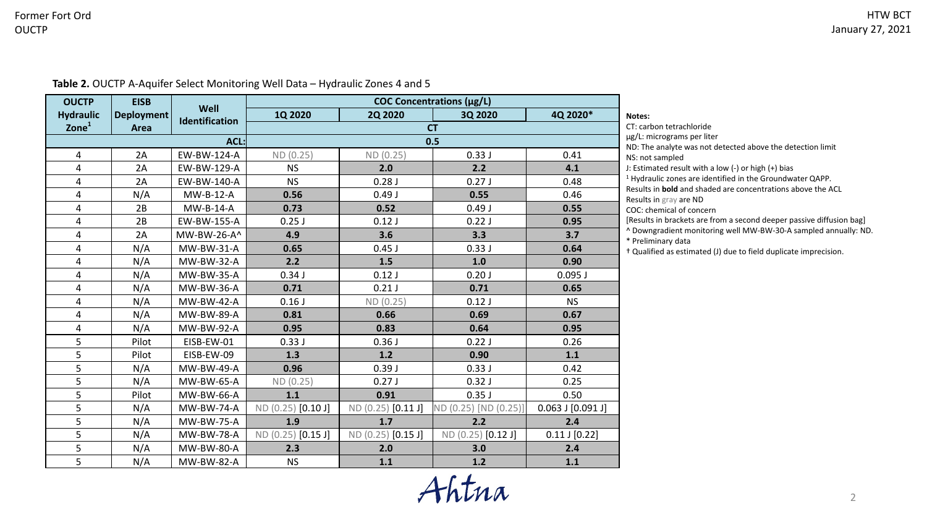| <b>OUCTP</b>     | <b>EISB</b>       | Well              |                    |                    | COC Concentrations (µg/L) |                                                                                          |                                                                                              |
|------------------|-------------------|-------------------|--------------------|--------------------|---------------------------|------------------------------------------------------------------------------------------|----------------------------------------------------------------------------------------------|
| <b>Hydraulic</b> | <b>Deployment</b> |                   | <b>1Q 2020</b>     | <b>2Q 2020</b>     | 3Q 2020                   | 4Q 2020*                                                                                 | Notes:                                                                                       |
| Zone $1$<br>Area |                   | Identification    |                    |                    | <b>CT</b>                 | CT: carbon tetrachloride                                                                 |                                                                                              |
|                  | $ACL$ :           |                   |                    |                    | 0.5                       | µg/L: micrograms per liter<br>ND: The analyte was not detected above the detection limit |                                                                                              |
| 4                | 2A                | EW-BW-124-A       | ND (0.25)          | ND(0.25)           | 0.33J                     | 0.41                                                                                     | NS: not sampled                                                                              |
| 4                | 2A                | EW-BW-129-A       | <b>NS</b>          | 2.0                | 2.2                       | 4.1                                                                                      | J: Estimated result with a low (-) or high (+) bias                                          |
| 4                | 2A                | EW-BW-140-A       | <b>NS</b>          | 0.28J              | 0.27J                     | 0.48                                                                                     | <sup>1</sup> Hydraulic zones are identified in the Groundwater QAPP.                         |
| 4                | N/A               | MW-B-12-A         | 0.56               | 0.49J              | 0.55                      | 0.46                                                                                     | Results in <b>bold</b> and shaded are concentrations above the ACL<br>Results in gray are ND |
| 4                | 2B                | MW-B-14-A         | 0.73               | 0.52               | 0.49J                     | 0.55                                                                                     | COC: chemical of concern                                                                     |
| 4                | 2B                | EW-BW-155-A       | $0.25$ J           | 0.12J              | 0.22J                     | 0.95                                                                                     | [Results in brackets are from a second deeper passive diffusion bag]                         |
| 4                | 2A                | MW-BW-26-A^       | 4.9                | 3.6                | 3.3                       | 3.7                                                                                      | ^ Downgradient monitoring well MW-BW-30-A sampled annually: ND.<br>* Preliminary data        |
| 4                | N/A               | MW-BW-31-A        | 0.65               | $0.45$ J           | 0.33J                     | 0.64                                                                                     | + Qualified as estimated (J) due to field duplicate imprecision.                             |
| 4                | N/A               | MW-BW-32-A        | 2.2                | 1.5                | 1.0                       | 0.90                                                                                     |                                                                                              |
| 4                | N/A               | MW-BW-35-A        | 0.34J              | 0.12J              | 0.20J                     | $0.095$ J                                                                                |                                                                                              |
| 4                | N/A               | MW-BW-36-A        | 0.71               | 0.21J              | 0.71                      | 0.65                                                                                     |                                                                                              |
| 4                | N/A               | <b>MW-BW-42-A</b> | 0.16J              | ND(0.25)           | 0.12J                     | <b>NS</b>                                                                                |                                                                                              |
| 4                | N/A               | <b>MW-BW-89-A</b> | 0.81               | 0.66               | 0.69                      | 0.67                                                                                     |                                                                                              |
| 4                | N/A               | <b>MW-BW-92-A</b> | 0.95               | 0.83               | 0.64                      | 0.95                                                                                     |                                                                                              |
| 5                | Pilot             | EISB-EW-01        | 0.33J              | 0.36J              | 0.22J                     | 0.26                                                                                     |                                                                                              |
| 5                | Pilot             | EISB-EW-09        | 1.3                | $1.2$              | 0.90                      | 1.1                                                                                      |                                                                                              |
| 5                | N/A               | MW-BW-49-A        | 0.96               | 0.39J              | 0.33J                     | 0.42                                                                                     |                                                                                              |
| 5                | N/A               | MW-BW-65-A        | ND(0.25)           | 0.27J              | 0.32J                     | 0.25                                                                                     |                                                                                              |
| 5                | Pilot             | MW-BW-66-A        | 1.1                | 0.91               | 0.35J                     | 0.50                                                                                     |                                                                                              |
| 5                | N/A               | <b>MW-BW-74-A</b> | ND (0.25) [0.10 J] | ND (0.25) [0.11 J] | ND (0.25) [ND (0.25)]     | $0.063$ J $[0.091$ J]                                                                    |                                                                                              |
| 5                | N/A               | <b>MW-BW-75-A</b> | 1.9                | 1.7                | 2.2                       | 2.4                                                                                      |                                                                                              |
| 5                | N/A               | <b>MW-BW-78-A</b> | ND (0.25) [0.15 J] | ND (0.25) [0.15 J] | ND (0.25) [0.12 J]        | $0.11$ J $[0.22]$                                                                        |                                                                                              |
| 5                | N/A               | MW-BW-80-A        | 2.3                | 2.0                | 3.0                       | 2.4                                                                                      |                                                                                              |
| 5                | N/A               | <b>MW-BW-82-A</b> | <b>NS</b>          | 1.1                | $1.2$                     | 1.1                                                                                      |                                                                                              |

**Table 2.** OUCTP A-Aquifer Select Monitoring Well Data – Hydraulic Zones 4 and 5

Ahtna

2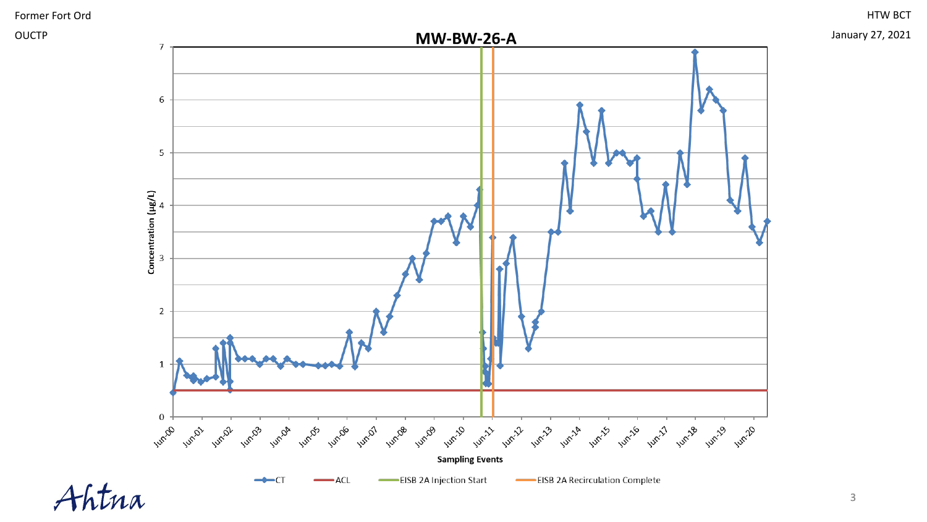

OUCTP

HTW BCT

January 27, 2021

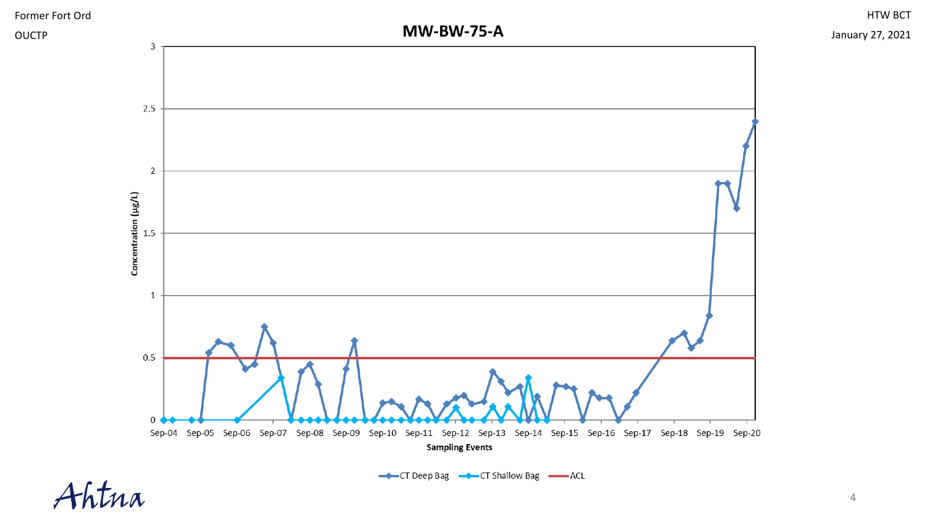

Ahtna

HTW BCT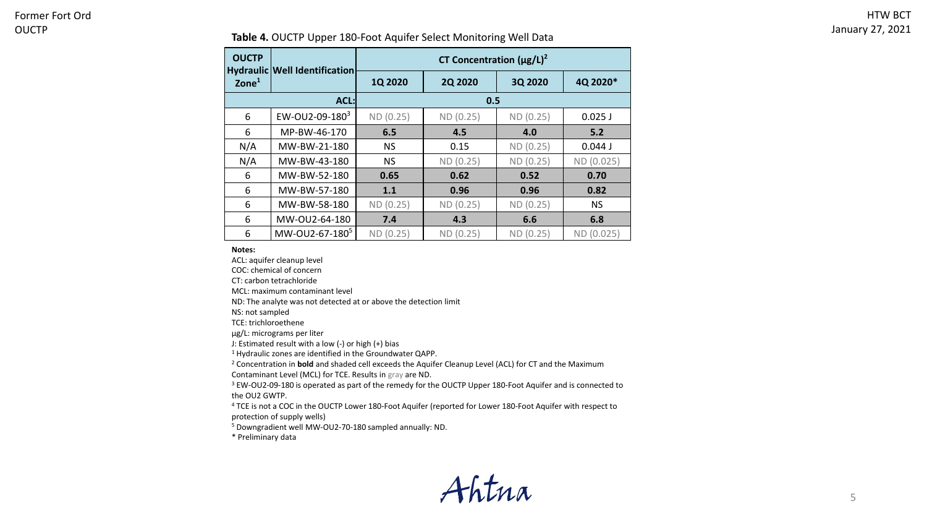#### **Table 4.** OUCTP Upper 180-Foot Aquifer Select Monitoring Well Data

| <b>OUCTP</b><br>$\mathsf{Zone}^1$ | Hydraulic Well Identification | CT Concentration $(\mu g/L)^2$ |                |           |            |  |  |  |
|-----------------------------------|-------------------------------|--------------------------------|----------------|-----------|------------|--|--|--|
|                                   |                               | 1Q 2020                        | <b>2Q 2020</b> | 3Q 2020   | 4Q 2020*   |  |  |  |
|                                   | ACL:                          | 0.5                            |                |           |            |  |  |  |
| 6                                 | EW-OU2-09-180 $3$             | ND (0.25)                      | ND (0.25)      | ND (0.25) | $0.025$ J  |  |  |  |
| 6                                 | MP-BW-46-170                  | 6.5                            | 4.5            | 4.0       | 5.2        |  |  |  |
| N/A                               | MW-BW-21-180                  | <b>NS</b>                      | 0.15           | ND (0.25) | 0.044J     |  |  |  |
| N/A                               | MW-BW-43-180                  | ΝS                             | ND (0.25)      | ND (0.25) | ND (0.025) |  |  |  |
| 6                                 | MW-BW-52-180                  | 0.65                           | 0.62           | 0.52      | 0.70       |  |  |  |
| 6                                 | MW-BW-57-180                  | 1.1                            | 0.96           | 0.96      | 0.82       |  |  |  |
| 6                                 | MW-BW-58-180                  | ND (0.25)                      | ND (0.25)      | ND (0.25) | <b>NS</b>  |  |  |  |
| 6                                 | MW-OU2-64-180                 | 7.4                            | 4.3            | 6.6       | 6.8        |  |  |  |
| 6                                 | MW-0U2-67-180 <sup>5</sup>    | ND (0.25)                      | ND (0.25)      | ND (0.25) | ND (0.025) |  |  |  |

#### **Notes:**

ACL: aquifer cleanup level

COC: chemical of concern

CT: carbon tetrachloride

MCL: maximum contaminant level

ND: The analyte was not detected at or above the detection limit

NS: not sampled

TCE: trichloroethene

µg/L: micrograms per liter

J: Estimated result with a low (-) or high (+) bias

<sup>1</sup> Hydraulic zones are identified in the Groundwater QAPP.

<sup>2</sup> Concentration in **bold** and shaded cell exceeds the Aquifer Cleanup Level (ACL) for CT and the Maximum Contaminant Level (MCL) for TCE. Results in gray are ND.

<sup>3</sup> EW-OU2-09-180 is operated as part of the remedy for the OUCTP Upper 180-Foot Aquifer and is connected to the OU2 GWTP.

<sup>4</sup> TCE is not a COC in the OUCTP Lower 180-Foot Aquifer (reported for Lower 180-Foot Aquifer with respect to protection of supply wells)

<sup>5</sup> Downgradient well MW-OU2-70-180 sampled annually: ND.

\* Preliminary data

Ahtna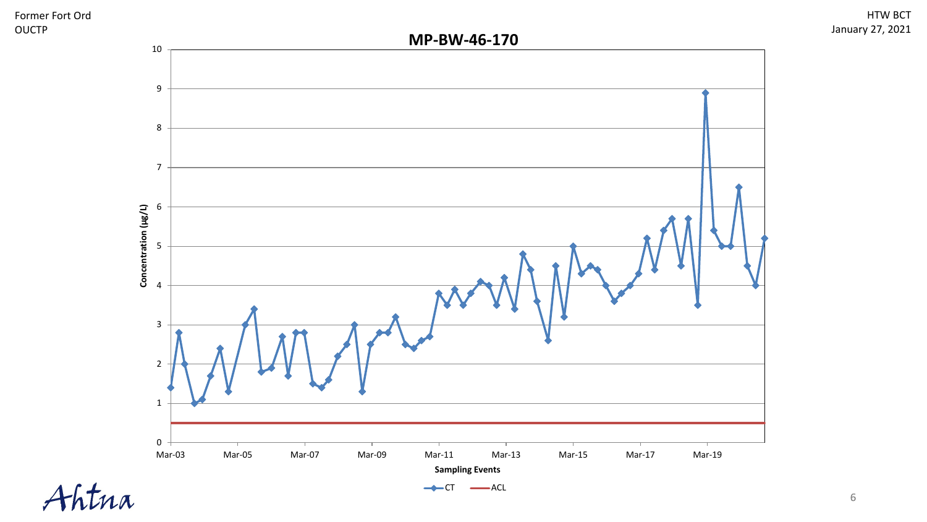



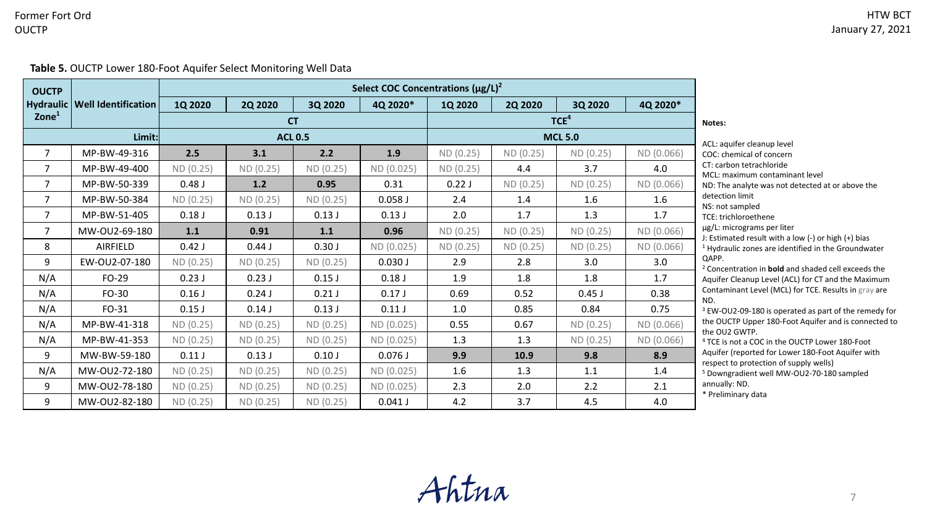## Former Fort Ord OUCTP

**Table 5.** OUCTP Lower 180-Foot Aquifer Select Monitoring Well Data

| <b>OUCTP</b>      |                                 | Select COC Concentrations $(\mu g/L)^2$ |                |           |            |                |                  |                |                            |                                                                                                                                                                                                                                                                                  |
|-------------------|---------------------------------|-----------------------------------------|----------------|-----------|------------|----------------|------------------|----------------|----------------------------|----------------------------------------------------------------------------------------------------------------------------------------------------------------------------------------------------------------------------------------------------------------------------------|
|                   | Hydraulic   Well Identification | 1Q 2020                                 | <b>2Q 2020</b> | 3Q 2020   | 4Q 2020*   | <b>1Q 2020</b> | <b>2Q 2020</b>   | 3Q 2020        | 4Q 2020*                   |                                                                                                                                                                                                                                                                                  |
| $\mathsf{Zone}^1$ |                                 |                                         |                | <b>CT</b> |            |                | TCE <sup>4</sup> |                |                            | Notes:                                                                                                                                                                                                                                                                           |
|                   |                                 | Limit:<br><b>ACL 0.5</b>                |                |           |            |                |                  | <b>MCL 5.0</b> | ACL: aquifer cleanup level |                                                                                                                                                                                                                                                                                  |
| $\overline{7}$    | MP-BW-49-316                    | 2.5                                     | 3.1            | 2.2       | 1.9        | ND (0.25)      | ND(0.25)         | ND (0.25)      | ND (0.066)                 | COC: chemical of concern                                                                                                                                                                                                                                                         |
| $\overline{7}$    | MP-BW-49-400                    | ND(0.25)                                | ND(0.25)       | ND (0.25) | ND (0.025) | ND (0.25)      | 4.4              | 3.7            | 4.0                        | CT: carbon tetrachloride<br>MCL: maximum contaminant level                                                                                                                                                                                                                       |
| $\overline{7}$    | MP-BW-50-339                    | 0.48J                                   | 1.2            | 0.95      | 0.31       | 0.22J          | ND (0.25)        | ND(0.25)       | ND (0.066)                 | ND: The analyte was not detected at or above the                                                                                                                                                                                                                                 |
| 7                 | MP-BW-50-384                    | ND (0.25)                               | ND(0.25)       | ND (0.25) | $0.058$ J  | 2.4            | 1.4              | 1.6            | 1.6                        | detection limit                                                                                                                                                                                                                                                                  |
| $\overline{7}$    | MP-BW-51-405                    | 0.18J                                   | 0.13J          | 0.13J     | 0.13J      | 2.0            | 1.7              | 1.3            | 1.7                        | NS: not sampled<br>TCE: trichloroethene<br>µg/L: micrograms per liter<br>J: Estimated result with a low (-) or high (+) bias<br><sup>1</sup> Hydraulic zones are identified in the Groundwater<br>QAPP.<br><sup>2</sup> Concentration in <b>bold</b> and shaded cell exceeds the |
| 7                 | MW-OU2-69-180                   | 1.1                                     | 0.91           | 1.1       | 0.96       | ND(0.25)       | ND (0.25)        | ND(0.25)       | ND (0.066)                 |                                                                                                                                                                                                                                                                                  |
| 8                 | AIRFIELD                        | 0.42J                                   | 0.44J          | 0.30J     | ND (0.025) | ND(0.25)       | ND(0.25)         | ND(0.25)       | ND (0.066)                 |                                                                                                                                                                                                                                                                                  |
| 9                 | EW-OU2-07-180                   | ND (0.25)                               | ND(0.25)       | ND (0.25) | 0.030J     | 2.9            | 2.8              | 3.0            | 3.0                        |                                                                                                                                                                                                                                                                                  |
| N/A               | FO-29                           | 0.23J                                   | 0.23J          | 0.15J     | 0.18J      | 1.9            | 1.8              | 1.8            | 1.7                        | Aquifer Cleanup Level (ACL) for CT and the Maximum                                                                                                                                                                                                                               |
| N/A               | FO-30                           | $0.16$ J                                | 0.24J          | $0.21$ J  | 0.17J      | 0.69           | 0.52             | $0.45$ J       | 0.38                       | Contaminant Level (MCL) for TCE. Results in gray are<br>ND.                                                                                                                                                                                                                      |
| N/A               | FO-31                           | $0.15$ J                                | 0.14J          | 0.13J     | 0.11J      | 1.0            | 0.85             | 0.84           | 0.75                       | <sup>3</sup> EW-OU2-09-180 is operated as part of the remedy for<br>the OUCTP Upper 180-Foot Aquifer and is connected to<br>the OU2 GWTP.<br><sup>4</sup> TCE is not a COC in the OUCTP Lower 180-Foot                                                                           |
| N/A               | MP-BW-41-318                    | ND (0.25)                               | ND(0.25)       | ND (0.25) | ND (0.025) | 0.55           | 0.67             | ND (0.25)      | ND (0.066)                 |                                                                                                                                                                                                                                                                                  |
| N/A               | MP-BW-41-353                    | ND(0.25)                                | ND (0.25)      | ND (0.25) | ND (0.025) | 1.3            | 1.3              | ND (0.25)      | ND (0.066)                 |                                                                                                                                                                                                                                                                                  |
| 9                 | MW-BW-59-180                    | 0.11J                                   | 0.13J          | 0.10J     | 0.076J     | 9.9            | 10.9             | 9.8            | 8.9                        | Aquifer (reported for Lower 180-Foot Aquifer with<br>respect to protection of supply wells)                                                                                                                                                                                      |
| N/A               | MW-OU2-72-180                   | ND(0.25)                                | ND(0.25)       | ND (0.25) | ND (0.025) | 1.6            | 1.3              | 1.1            | 1.4                        | <sup>5</sup> Downgradient well MW-OU2-70-180 sampled                                                                                                                                                                                                                             |
| 9                 | MW-0U2-78-180                   | ND(0.25)                                | ND (0.25)      | ND (0.25) | ND (0.025) | 2.3            | 2.0              | 2.2            | 2.1                        | annually: ND.<br>* Preliminary data                                                                                                                                                                                                                                              |
| 9                 | MW-OU2-82-180                   | ND(0.25)                                | ND (0.25)      | ND (0.25) | $0.041$ J  | 4.2            | 3.7              | 4.5            | 4.0                        |                                                                                                                                                                                                                                                                                  |

Ahtna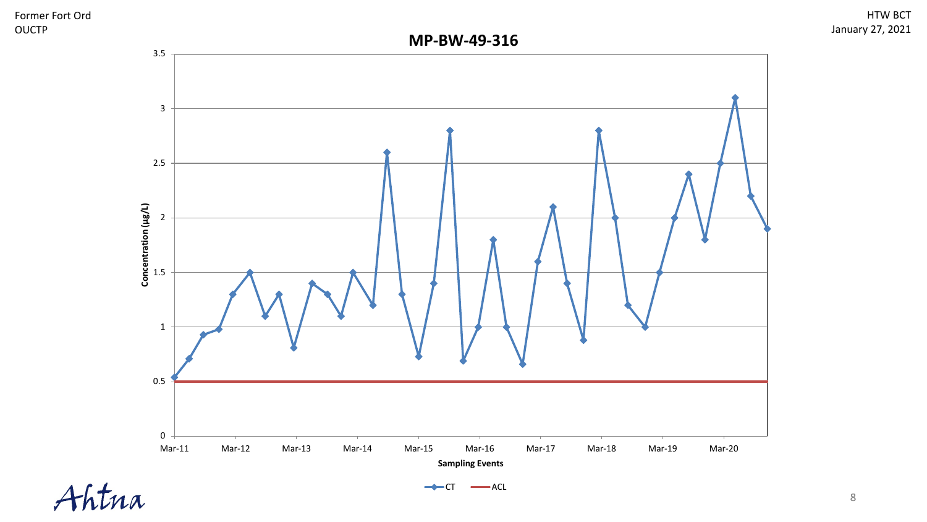



Ahtna